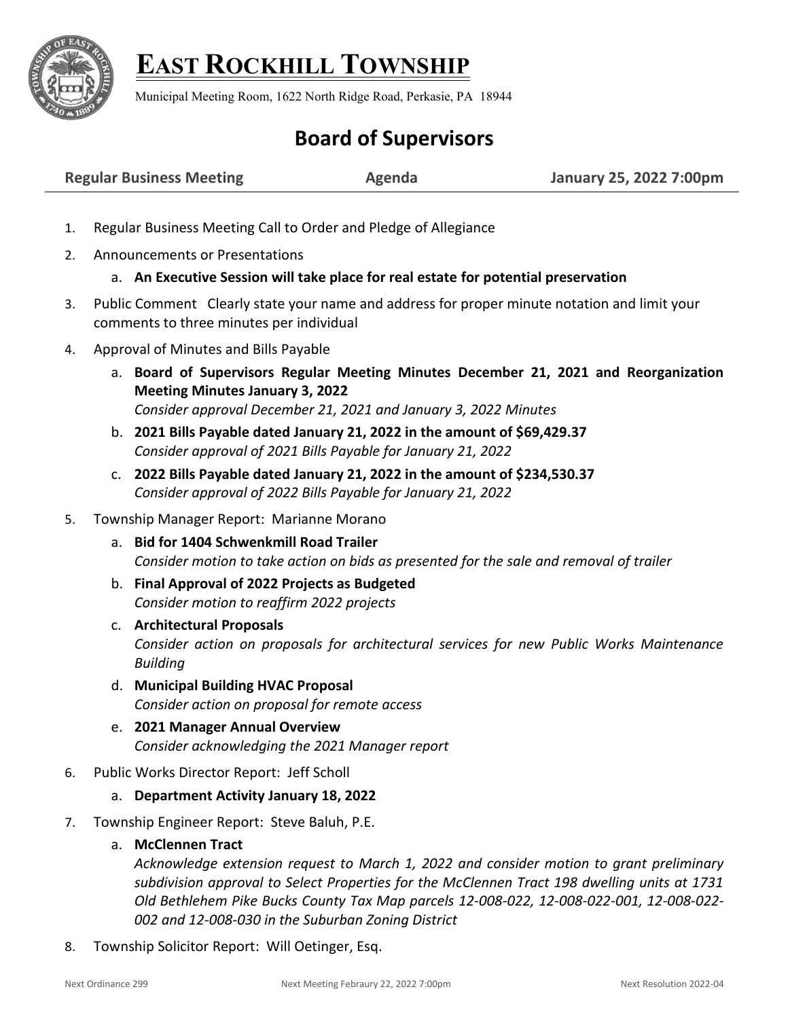

## **EAST ROCKHILL TOWNSHIP**

Municipal Meeting Room, 1622 North Ridge Road, Perkasie, PA 18944

## **Board of Supervisors**

| <b>Regular Business Meeting</b> | <b>Agenda</b> | January 25, 2022 7:00pm |
|---------------------------------|---------------|-------------------------|
|---------------------------------|---------------|-------------------------|

- 1. Regular Business Meeting Call to Order and Pledge of Allegiance
- 2. Announcements or Presentations

## a. **An Executive Session will take place for real estate for potential preservation**

- 3. Public Comment Clearly state your name and address for proper minute notation and limit your comments to three minutes per individual
- 4. Approval of Minutes and Bills Payable
	- a. **Board of Supervisors Regular Meeting Minutes December 21, 2021 and Reorganization Meeting Minutes January 3, 2022** *Consider approval December 21, 2021 and January 3, 2022 Minutes*
	- b. **2021 Bills Payable dated January 21, 2022 in the amount of \$69,429.37** *Consider approval of 2021 Bills Payable for January 21, 2022*
	- c. **2022 Bills Payable dated January 21, 2022 in the amount of \$234,530.37** *Consider approval of 2022 Bills Payable for January 21, 2022*
- 5. Township Manager Report: Marianne Morano
	- a. **Bid for 1404 Schwenkmill Road Trailer** *Consider motion to take action on bids as presented for the sale and removal of trailer*
	- b. **Final Approval of 2022 Projects as Budgeted** *Consider motion to reaffirm 2022 projects*
	- c. **Architectural Proposals** *Consider action on proposals for architectural services for new Public Works Maintenance Building*
	- d. **Municipal Building HVAC Proposal** *Consider action on proposal for remote access*
	- e. **2021 Manager Annual Overview** *Consider acknowledging the 2021 Manager report*
- 6. Public Works Director Report: Jeff Scholl
	- a. **Department Activity January 18, 2022**
- 7. Township Engineer Report: Steve Baluh, P.E.
	- a. **McClennen Tract**

*Acknowledge extension request to March 1, 2022 and consider motion to grant preliminary subdivision approval to Select Properties for the McClennen Tract 198 dwelling units at 1731 Old Bethlehem Pike Bucks County Tax Map parcels 12-008-022, 12-008-022-001, 12-008-022- 002 and 12-008-030 in the Suburban Zoning District*

8. Township Solicitor Report: Will Oetinger, Esq.